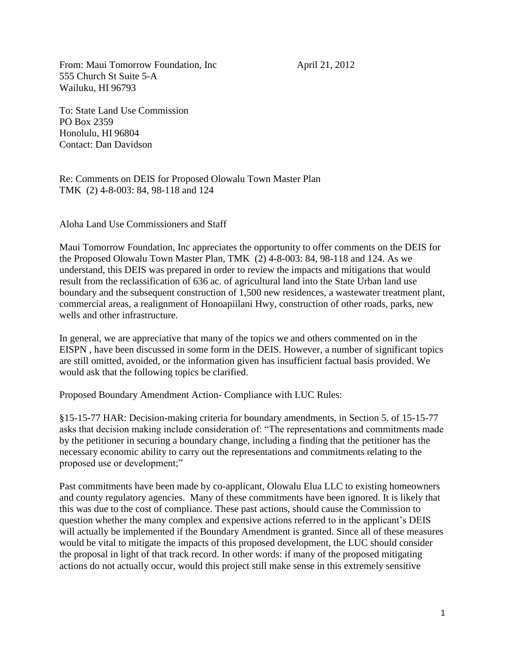From: Maui Tomorrow Foundation, Inc April 21, 2012 555 Church St Suite 5-A Wailuku, HI 96793

To: State Land Use Commission PO Box 2359 Honolulu, HI 96804 Contact: Dan Davidson

Re: Comments on DEIS for Proposed Olowalu Town Master Plan TMK (2) 4-8-003: 84, 98-118 and 124

Aloha Land Use Commissioners and Staff

Maui Tomorrow Foundation, Inc appreciates the opportunity to offer comments on the DEIS for the Proposed Olowalu Town Master Plan, TMK (2) 4-8-003: 84, 98-118 and 124. As we understand, this DEIS was prepared in order to review the impacts and mitigations that would result from the reclassification of 636 ac. of agricultural land into the State Urban land use boundary and the subsequent construction of 1,500 new residences, a wastewater treatment plant, commercial areas, a realignment of Honoapiilani Hwy, construction of other roads, parks, new wells and other infrastructure.

In general, we are appreciative that many of the topics we and others commented on in the EISPN , have been discussed in some form in the DEIS. However, a number of significant topics are still omitted, avoided, or the information given has insufficient factual basis provided. We would ask that the following topics be clarified.

Proposed Boundary Amendment Action- Compliance with LUC Rules:

§15-15-77 HAR: Decision-making criteria for boundary amendments, in Section 5. of 15-15-77 asks that decision making include consideration of: "The representations and commitments made by the petitioner in securing a boundary change, including a finding that the petitioner has the necessary economic ability to carry out the representations and commitments relating to the proposed use or development;"

Past commitments have been made by co-applicant, Olowalu Elua LLC to existing homeowners and county regulatory agencies. Many of these commitments have been ignored. It is likely that this was due to the cost of compliance. These past actions, should cause the Commission to question whether the many complex and expensive actions referred to in the applicant's DEIS will actually be implemented if the Boundary Amendment is granted. Since all of these measures would be vital to mitigate the impacts of this proposed development, the LUC should consider the proposal in light of that track record. In other words: if many of the proposed mitigating actions do not actually occur, would this project still make sense in this extremely sensitive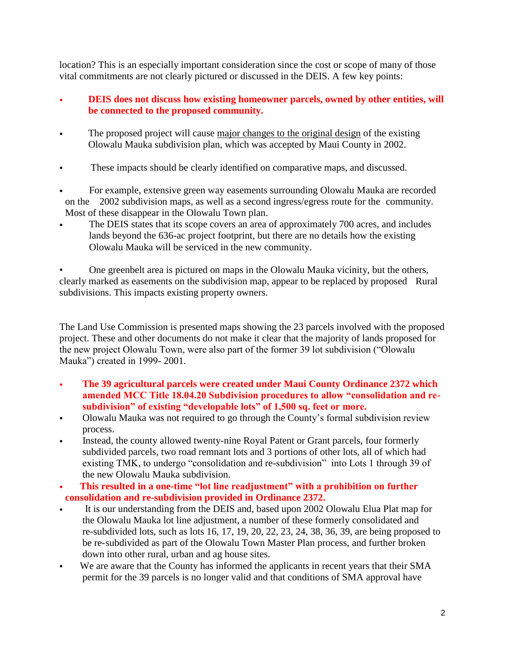location? This is an especially important consideration since the cost or scope of many of those vital commitments are not clearly pictured or discussed in the DEIS. A few key points:

- **DEIS does not discuss how existing homeowner parcels, owned by other entities, will be connected to the proposed community.**
- The proposed project will cause major changes to the original design of the existing Olowalu Mauka subdivision plan, which was accepted by Maui County in 2002.
- These impacts should be clearly identified on comparative maps, and discussed.
- For example, extensive green way easements surrounding Olowalu Mauka are recorded on the 2002 subdivision maps, as well as a second ingress/egress route for the community. Most of these disappear in the Olowalu Town plan.
- The DEIS states that its scope covers an area of approximately 700 acres, and includes lands beyond the 636-ac project footprint, but there are no details how the existing Olowalu Mauka will be serviced in the new community.

• One greenbelt area is pictured on maps in the Olowalu Mauka vicinity, but the others, clearly marked as easements on the subdivision map, appear to be replaced by proposed Rural subdivisions. This impacts existing property owners.

The Land Use Commission is presented maps showing the 23 parcels involved with the proposed project. These and other documents do not make it clear that the majority of lands proposed for the new project Olowalu Town, were also part of the former 39 lot subdivision ("Olowalu Mauka") created in 1999- 2001.

- **The 39 agricultural parcels were created under Maui County Ordinance 2372 which amended MCC Title 18.04.20 Subdivision procedures to allow "consolidation and resubdivision" of existing "developable lots" of 1,500 sq. feet or more.**
- Olowalu Mauka was not required to go through the County's formal subdivision review process.
- Instead, the county allowed twenty-nine Royal Patent or Grant parcels, four formerly subdivided parcels, two road remnant lots and 3 portions of other lots, all of which had existing TMK, to undergo "consolidation and re-subdivision" into Lots 1 through 39 of the new Olowalu Mauka subdivision.
- • **This resulted in a one-time "lot line readjustment" with a prohibition on further consolidation and re-subdivision provided in Ordinance 2372.**
- It is our understanding from the DEIS and, based upon 2002 Olowalu Elua Plat map for the Olowalu Mauka lot line adjustment, a number of these formerly consolidated and re-subdivided lots, such as lots 16, 17, 19, 20, 22, 23, 24, 38, 36, 39, are being proposed to be re-subdivided as part of the Olowalu Town Master Plan process, and further broken down into other rural, urban and ag house sites.
- We are aware that the County has informed the applicants in recent years that their SMA permit for the 39 parcels is no longer valid and that conditions of SMA approval have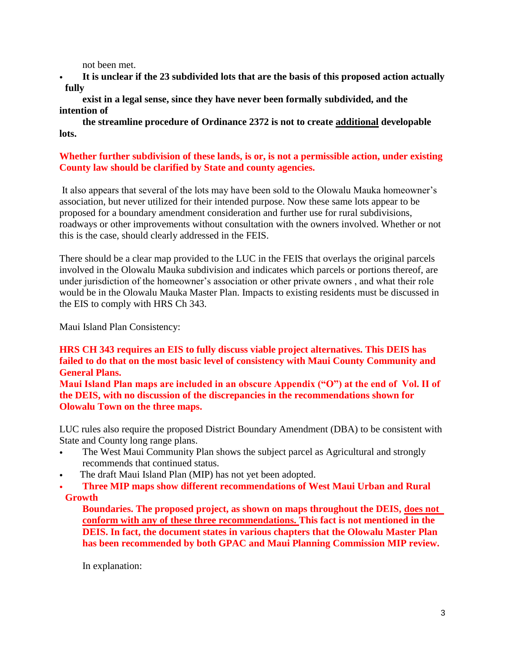not been met.

• **It is unclear if the 23 subdivided lots that are the basis of this proposed action actually fully** 

**exist in a legal sense, since they have never been formally subdivided, and the intention of** 

**the streamline procedure of Ordinance 2372 is not to create additional developable lots.**

# **Whether further subdivision of these lands, is or, is not a permissible action, under existing County law should be clarified by State and county agencies.**

It also appears that several of the lots may have been sold to the Olowalu Mauka homeowner's association, but never utilized for their intended purpose. Now these same lots appear to be proposed for a boundary amendment consideration and further use for rural subdivisions, roadways or other improvements without consultation with the owners involved. Whether or not this is the case, should clearly addressed in the FEIS.

There should be a clear map provided to the LUC in the FEIS that overlays the original parcels involved in the Olowalu Mauka subdivision and indicates which parcels or portions thereof, are under jurisdiction of the homeowner's association or other private owners , and what their role would be in the Olowalu Mauka Master Plan. Impacts to existing residents must be discussed in the EIS to comply with HRS Ch 343.

Maui Island Plan Consistency:

# **HRS CH 343 requires an EIS to fully discuss viable project alternatives. This DEIS has failed to do that on the most basic level of consistency with Maui County Community and General Plans.**

**Maui Island Plan maps are included in an obscure Appendix ("O") at the end of Vol. II of the DEIS, with no discussion of the discrepancies in the recommendations shown for Olowalu Town on the three maps.** 

LUC rules also require the proposed District Boundary Amendment (DBA) to be consistent with State and County long range plans.

- The West Maui Community Plan shows the subject parcel as Agricultural and strongly recommends that continued status.
- The draft Maui Island Plan (MIP) has not yet been adopted.
- **Three MIP maps show different recommendations of West Maui Urban and Rural Growth**

**Boundaries. The proposed project, as shown on maps throughout the DEIS, does not conform with any of these three recommendations. This fact is not mentioned in the DEIS. In fact, the document states in various chapters that the Olowalu Master Plan has been recommended by both GPAC and Maui Planning Commission MIP review.**

In explanation: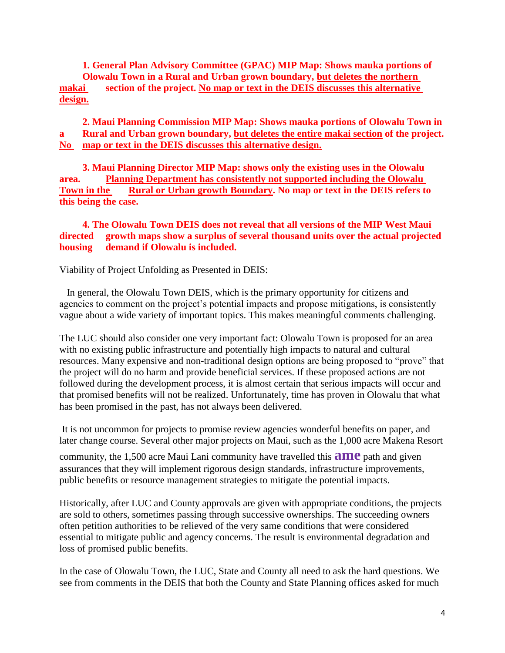**1. General Plan Advisory Committee (GPAC) MIP Map: Shows mauka portions of Olowalu Town in a Rural and Urban grown boundary, but deletes the northern makai section of the project. No map or text in the DEIS discusses this alternative design.**

**2. Maui Planning Commission MIP Map: Shows mauka portions of Olowalu Town in a Rural and Urban grown boundary, but deletes the entire makai section of the project. No map or text in the DEIS discusses this alternative design.**

**3. Maui Planning Director MIP Map: shows only the existing uses in the Olowalu area. Planning Department has consistently not supported including the Olowalu Town in the Rural or Urban growth Boundary. No map or text in the DEIS refers to this being the case.** 

**4. The Olowalu Town DEIS does not reveal that all versions of the MIP West Maui directed growth maps show a surplus of several thousand units over the actual projected housing demand if Olowalu is included.** 

Viability of Project Unfolding as Presented in DEIS:

 In general, the Olowalu Town DEIS, which is the primary opportunity for citizens and agencies to comment on the project's potential impacts and propose mitigations, is consistently vague about a wide variety of important topics. This makes meaningful comments challenging.

The LUC should also consider one very important fact: Olowalu Town is proposed for an area with no existing public infrastructure and potentially high impacts to natural and cultural resources. Many expensive and non-traditional design options are being proposed to "prove" that the project will do no harm and provide beneficial services. If these proposed actions are not followed during the development process, it is almost certain that serious impacts will occur and that promised benefits will not be realized. Unfortunately, time has proven in Olowalu that what has been promised in the past, has not always been delivered.

It is not uncommon for projects to promise review agencies wonderful benefits on paper, and later change course. Several other major projects on Maui, such as the 1,000 acre Makena Resort

community, the 1,500 acre Maui Lani community have travelled this **ame** path and given assurances that they will implement rigorous design standards, infrastructure improvements, public benefits or resource management strategies to mitigate the potential impacts.

Historically, after LUC and County approvals are given with appropriate conditions, the projects are sold to others, sometimes passing through successive ownerships. The succeeding owners often petition authorities to be relieved of the very same conditions that were considered essential to mitigate public and agency concerns. The result is environmental degradation and loss of promised public benefits.

In the case of Olowalu Town, the LUC, State and County all need to ask the hard questions. We see from comments in the DEIS that both the County and State Planning offices asked for much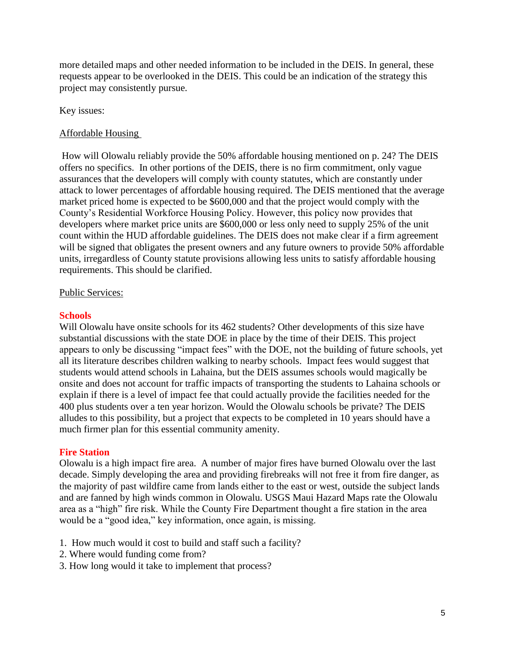more detailed maps and other needed information to be included in the DEIS. In general, these requests appear to be overlooked in the DEIS. This could be an indication of the strategy this project may consistently pursue.

# Key issues:

# Affordable Housing

How will Olowalu reliably provide the 50% affordable housing mentioned on p. 24? The DEIS offers no specifics. In other portions of the DEIS, there is no firm commitment, only vague assurances that the developers will comply with county statutes, which are constantly under attack to lower percentages of affordable housing required. The DEIS mentioned that the average market priced home is expected to be \$600,000 and that the project would comply with the County's Residential Workforce Housing Policy. However, this policy now provides that developers where market price units are \$600,000 or less only need to supply 25% of the unit count within the HUD affordable guidelines. The DEIS does not make clear if a firm agreement will be signed that obligates the present owners and any future owners to provide 50% affordable units, irregardless of County statute provisions allowing less units to satisfy affordable housing requirements. This should be clarified.

### Public Services:

### **Schools**

Will Olowalu have onsite schools for its 462 students? Other developments of this size have substantial discussions with the state DOE in place by the time of their DEIS. This project appears to only be discussing "impact fees" with the DOE, not the building of future schools, yet all its literature describes children walking to nearby schools. Impact fees would suggest that students would attend schools in Lahaina, but the DEIS assumes schools would magically be onsite and does not account for traffic impacts of transporting the students to Lahaina schools or explain if there is a level of impact fee that could actually provide the facilities needed for the 400 plus students over a ten year horizon. Would the Olowalu schools be private? The DEIS alludes to this possibility, but a project that expects to be completed in 10 years should have a much firmer plan for this essential community amenity.

### **Fire Station**

Olowalu is a high impact fire area. A number of major fires have burned Olowalu over the last decade. Simply developing the area and providing firebreaks will not free it from fire danger, as the majority of past wildfire came from lands either to the east or west, outside the subject lands and are fanned by high winds common in Olowalu. USGS Maui Hazard Maps rate the Olowalu area as a "high" fire risk. While the County Fire Department thought a fire station in the area would be a "good idea," key information, once again, is missing.

- 1. How much would it cost to build and staff such a facility?
- 2. Where would funding come from?
- 3. How long would it take to implement that process?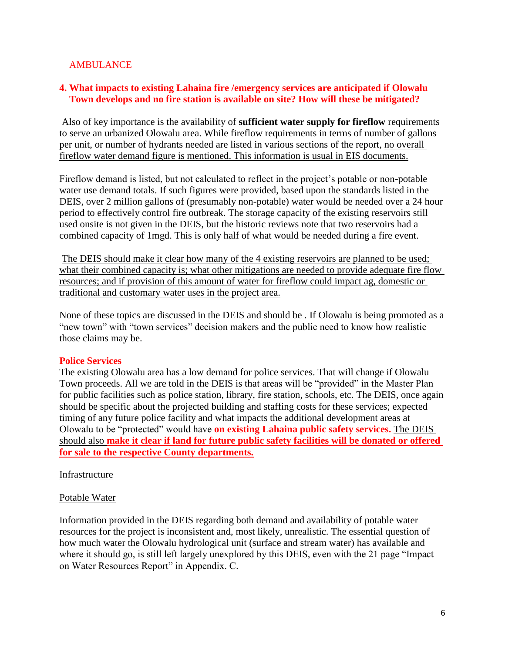# AMBULANCE

# **4. What impacts to existing Lahaina fire /emergency services are anticipated if Olowalu Town develops and no fire station is available on site? How will these be mitigated?**

Also of key importance is the availability of **sufficient water supply for fireflow** requirements to serve an urbanized Olowalu area. While fireflow requirements in terms of number of gallons per unit, or number of hydrants needed are listed in various sections of the report, no overall fireflow water demand figure is mentioned. This information is usual in EIS documents.

Fireflow demand is listed, but not calculated to reflect in the project's potable or non-potable water use demand totals. If such figures were provided, based upon the standards listed in the DEIS, over 2 million gallons of (presumably non-potable) water would be needed over a 24 hour period to effectively control fire outbreak. The storage capacity of the existing reservoirs still used onsite is not given in the DEIS, but the historic reviews note that two reservoirs had a combined capacity of 1mgd. This is only half of what would be needed during a fire event.

The DEIS should make it clear how many of the 4 existing reservoirs are planned to be used; what their combined capacity is; what other mitigations are needed to provide adequate fire flow resources; and if provision of this amount of water for fireflow could impact ag, domestic or traditional and customary water uses in the project area.

None of these topics are discussed in the DEIS and should be . If Olowalu is being promoted as a "new town" with "town services" decision makers and the public need to know how realistic those claims may be.

### **Police Services**

The existing Olowalu area has a low demand for police services. That will change if Olowalu Town proceeds. All we are told in the DEIS is that areas will be "provided" in the Master Plan for public facilities such as police station, library, fire station, schools, etc. The DEIS, once again should be specific about the projected building and staffing costs for these services; expected timing of any future police facility and what impacts the additional development areas at Olowalu to be "protected" would have **on existing Lahaina public safety services.** The DEIS should also **make it clear if land for future public safety facilities will be donated or offered for sale to the respective County departments.**

### **Infrastructure**

### Potable Water

Information provided in the DEIS regarding both demand and availability of potable water resources for the project is inconsistent and, most likely, unrealistic. The essential question of how much water the Olowalu hydrological unit (surface and stream water) has available and where it should go, is still left largely unexplored by this DEIS, even with the 21 page "Impact on Water Resources Report" in Appendix. C.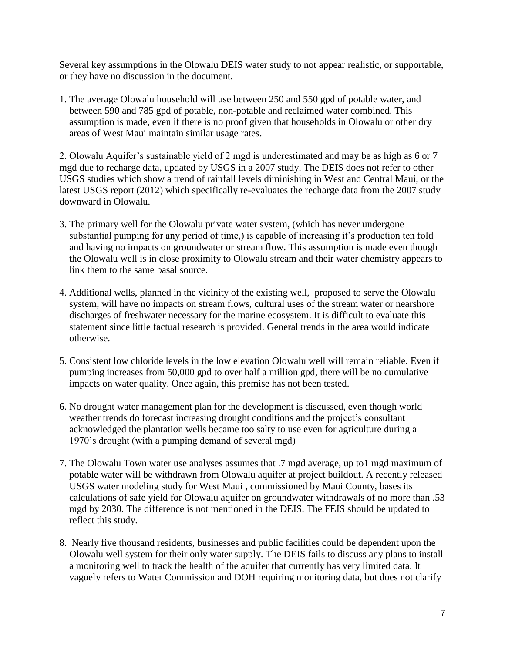Several key assumptions in the Olowalu DEIS water study to not appear realistic, or supportable, or they have no discussion in the document.

1. The average Olowalu household will use between 250 and 550 gpd of potable water, and between 590 and 785 gpd of potable, non-potable and reclaimed water combined. This assumption is made, even if there is no proof given that households in Olowalu or other dry areas of West Maui maintain similar usage rates.

2. Olowalu Aquifer's sustainable yield of 2 mgd is underestimated and may be as high as 6 or 7 mgd due to recharge data, updated by USGS in a 2007 study. The DEIS does not refer to other USGS studies which show a trend of rainfall levels diminishing in West and Central Maui, or the latest USGS report (2012) which specifically re-evaluates the recharge data from the 2007 study downward in Olowalu.

- 3. The primary well for the Olowalu private water system, (which has never undergone substantial pumping for any period of time,) is capable of increasing it's production ten fold and having no impacts on groundwater or stream flow. This assumption is made even though the Olowalu well is in close proximity to Olowalu stream and their water chemistry appears to link them to the same basal source.
- 4. Additional wells, planned in the vicinity of the existing well, proposed to serve the Olowalu system, will have no impacts on stream flows, cultural uses of the stream water or nearshore discharges of freshwater necessary for the marine ecosystem. It is difficult to evaluate this statement since little factual research is provided. General trends in the area would indicate otherwise.
- 5. Consistent low chloride levels in the low elevation Olowalu well will remain reliable. Even if pumping increases from 50,000 gpd to over half a million gpd, there will be no cumulative impacts on water quality. Once again, this premise has not been tested.
- 6. No drought water management plan for the development is discussed, even though world weather trends do forecast increasing drought conditions and the project's consultant acknowledged the plantation wells became too salty to use even for agriculture during a 1970's drought (with a pumping demand of several mgd)
- 7. The Olowalu Town water use analyses assumes that .7 mgd average, up to1 mgd maximum of potable water will be withdrawn from Olowalu aquifer at project buildout. A recently released USGS water modeling study for West Maui , commissioned by Maui County, bases its calculations of safe yield for Olowalu aquifer on groundwater withdrawals of no more than .53 mgd by 2030. The difference is not mentioned in the DEIS. The FEIS should be updated to reflect this study.
- 8. Nearly five thousand residents, businesses and public facilities could be dependent upon the Olowalu well system for their only water supply. The DEIS fails to discuss any plans to install a monitoring well to track the health of the aquifer that currently has very limited data. It vaguely refers to Water Commission and DOH requiring monitoring data, but does not clarify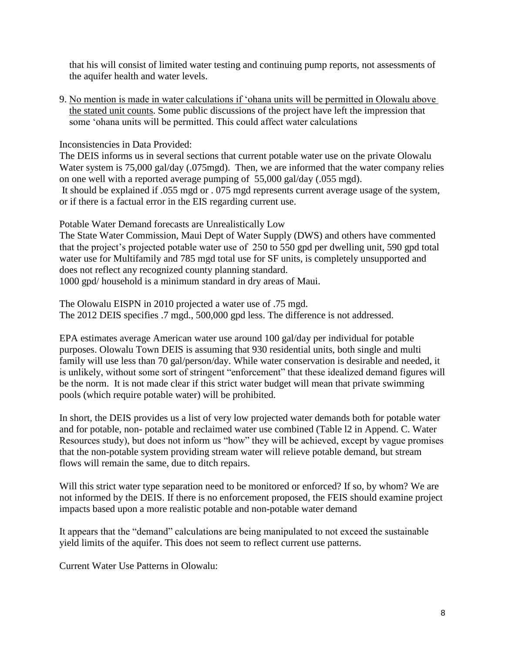that his will consist of limited water testing and continuing pump reports, not assessments of the aquifer health and water levels.

9. No mention is made in water calculations if 'ohana units will be permitted in Olowalu above the stated unit counts. Some public discussions of the project have left the impression that some 'ohana units will be permitted. This could affect water calculations

Inconsistencies in Data Provided:

The DEIS informs us in several sections that current potable water use on the private Olowalu Water system is 75,000 gal/day (.075mgd). Then, we are informed that the water company relies on one well with a reported average pumping of 55,000 gal/day (.055 mgd). It should be explained if .055 mgd or . 075 mgd represents current average usage of the system, or if there is a factual error in the EIS regarding current use.

Potable Water Demand forecasts are Unrealistically Low

The State Water Commission, Maui Dept of Water Supply (DWS) and others have commented that the project's projected potable water use of 250 to 550 gpd per dwelling unit, 590 gpd total water use for Multifamily and 785 mgd total use for SF units, is completely unsupported and does not reflect any recognized county planning standard. 1000 gpd/ household is a minimum standard in dry areas of Maui.

The Olowalu EISPN in 2010 projected a water use of .75 mgd. The 2012 DEIS specifies .7 mgd., 500,000 gpd less. The difference is not addressed.

EPA estimates average American water use around 100 gal/day per individual for potable purposes. Olowalu Town DEIS is assuming that 930 residential units, both single and multi family will use less than 70 gal/person/day. While water conservation is desirable and needed, it is unlikely, without some sort of stringent "enforcement" that these idealized demand figures will be the norm. It is not made clear if this strict water budget will mean that private swimming pools (which require potable water) will be prohibited.

In short, the DEIS provides us a list of very low projected water demands both for potable water and for potable, non- potable and reclaimed water use combined (Table l2 in Append. C. Water Resources study), but does not inform us "how" they will be achieved, except by vague promises that the non-potable system providing stream water will relieve potable demand, but stream flows will remain the same, due to ditch repairs.

Will this strict water type separation need to be monitored or enforced? If so, by whom? We are not informed by the DEIS. If there is no enforcement proposed, the FEIS should examine project impacts based upon a more realistic potable and non-potable water demand

It appears that the "demand" calculations are being manipulated to not exceed the sustainable yield limits of the aquifer. This does not seem to reflect current use patterns.

Current Water Use Patterns in Olowalu: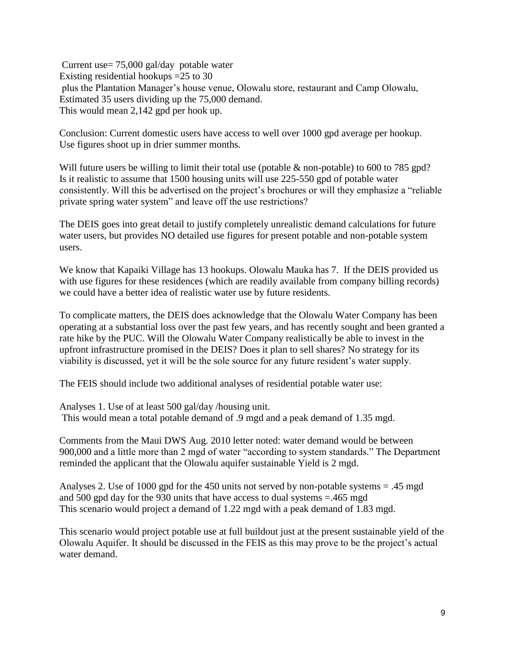Current use= 75,000 gal/day potable water Existing residential hookups =25 to 30 plus the Plantation Manager's house venue, Olowalu store, restaurant and Camp Olowalu, Estimated 35 users dividing up the 75,000 demand. This would mean 2,142 gpd per hook up.

Conclusion: Current domestic users have access to well over 1000 gpd average per hookup. Use figures shoot up in drier summer months.

Will future users be willing to limit their total use (potable & non-potable) to 600 to 785 gpd? Is it realistic to assume that 1500 housing units will use 225-550 gpd of potable water consistently. Will this be advertised on the project's brochures or will they emphasize a "reliable private spring water system" and leave off the use restrictions?

The DEIS goes into great detail to justify completely unrealistic demand calculations for future water users, but provides NO detailed use figures for present potable and non-potable system users.

We know that Kapaiki Village has 13 hookups. Olowalu Mauka has 7. If the DEIS provided us with use figures for these residences (which are readily available from company billing records) we could have a better idea of realistic water use by future residents.

To complicate matters, the DEIS does acknowledge that the Olowalu Water Company has been operating at a substantial loss over the past few years, and has recently sought and been granted a rate hike by the PUC. Will the Olowalu Water Company realistically be able to invest in the upfront infrastructure promised in the DEIS? Does it plan to sell shares? No strategy for its viability is discussed, yet it will be the sole source for any future resident's water supply.

The FEIS should include two additional analyses of residential potable water use:

Analyses 1. Use of at least 500 gal/day /housing unit. This would mean a total potable demand of .9 mgd and a peak demand of 1.35 mgd.

Comments from the Maui DWS Aug. 2010 letter noted: water demand would be between 900,000 and a little more than 2 mgd of water "according to system standards." The Department reminded the applicant that the Olowalu aquifer sustainable Yield is 2 mgd.

Analyses 2. Use of 1000 gpd for the 450 units not served by non-potable systems = .45 mgd and 500 gpd day for the 930 units that have access to dual systems =.465 mgd This scenario would project a demand of 1.22 mgd with a peak demand of 1.83 mgd.

This scenario would project potable use at full buildout just at the present sustainable yield of the Olowalu Aquifer. It should be discussed in the FEIS as this may prove to be the project's actual water demand.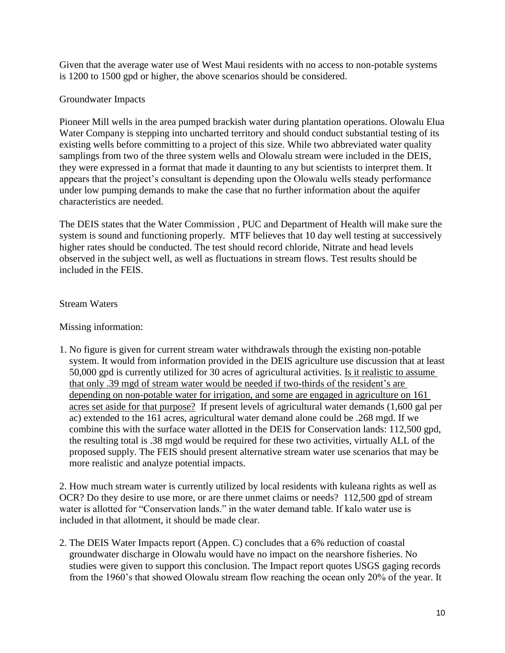Given that the average water use of West Maui residents with no access to non-potable systems is 1200 to 1500 gpd or higher, the above scenarios should be considered.

# Groundwater Impacts

Pioneer Mill wells in the area pumped brackish water during plantation operations. Olowalu Elua Water Company is stepping into uncharted territory and should conduct substantial testing of its existing wells before committing to a project of this size. While two abbreviated water quality samplings from two of the three system wells and Olowalu stream were included in the DEIS, they were expressed in a format that made it daunting to any but scientists to interpret them. It appears that the project's consultant is depending upon the Olowalu wells steady performance under low pumping demands to make the case that no further information about the aquifer characteristics are needed.

The DEIS states that the Water Commission , PUC and Department of Health will make sure the system is sound and functioning properly. MTF believes that 10 day well testing at successively higher rates should be conducted. The test should record chloride, Nitrate and head levels observed in the subject well, as well as fluctuations in stream flows. Test results should be included in the FEIS.

# Stream Waters

Missing information:

1. No figure is given for current stream water withdrawals through the existing non-potable system. It would from information provided in the DEIS agriculture use discussion that at least 50,000 gpd is currently utilized for 30 acres of agricultural activities. Is it realistic to assume that only .39 mgd of stream water would be needed if two-thirds of the resident's are depending on non-potable water for irrigation, and some are engaged in agriculture on 161 acres set aside for that purpose? If present levels of agricultural water demands (1,600 gal per ac) extended to the 161 acres, agricultural water demand alone could be .268 mgd. If we combine this with the surface water allotted in the DEIS for Conservation lands: 112,500 gpd, the resulting total is .38 mgd would be required for these two activities, virtually ALL of the proposed supply. The FEIS should present alternative stream water use scenarios that may be more realistic and analyze potential impacts.

2. How much stream water is currently utilized by local residents with kuleana rights as well as OCR? Do they desire to use more, or are there unmet claims or needs? 112,500 gpd of stream water is allotted for "Conservation lands." in the water demand table. If kalo water use is included in that allotment, it should be made clear.

2. The DEIS Water Impacts report (Appen. C) concludes that a 6% reduction of coastal groundwater discharge in Olowalu would have no impact on the nearshore fisheries. No studies were given to support this conclusion. The Impact report quotes USGS gaging records from the 1960's that showed Olowalu stream flow reaching the ocean only 20% of the year. It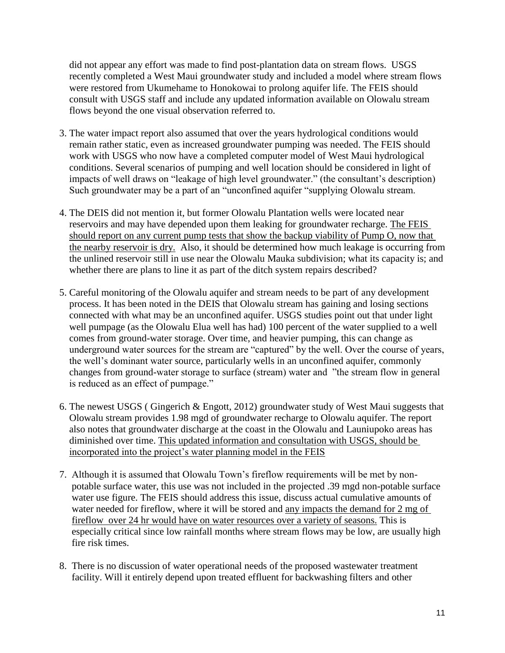did not appear any effort was made to find post-plantation data on stream flows. USGS recently completed a West Maui groundwater study and included a model where stream flows were restored from Ukumehame to Honokowai to prolong aquifer life. The FEIS should consult with USGS staff and include any updated information available on Olowalu stream flows beyond the one visual observation referred to.

- 3. The water impact report also assumed that over the years hydrological conditions would remain rather static, even as increased groundwater pumping was needed. The FEIS should work with USGS who now have a completed computer model of West Maui hydrological conditions. Several scenarios of pumping and well location should be considered in light of impacts of well draws on "leakage of high level groundwater." (the consultant's description) Such groundwater may be a part of an "unconfined aquifer "supplying Olowalu stream.
- 4. The DEIS did not mention it, but former Olowalu Plantation wells were located near reservoirs and may have depended upon them leaking for groundwater recharge. The FEIS should report on any current pump tests that show the backup viability of Pump O, now that the nearby reservoir is dry. Also, it should be determined how much leakage is occurring from the unlined reservoir still in use near the Olowalu Mauka subdivision; what its capacity is; and whether there are plans to line it as part of the ditch system repairs described?
- 5. Careful monitoring of the Olowalu aquifer and stream needs to be part of any development process. It has been noted in the DEIS that Olowalu stream has gaining and losing sections connected with what may be an unconfined aquifer. USGS studies point out that under light well pumpage (as the Olowalu Elua well has had) 100 percent of the water supplied to a well comes from ground-water storage. Over time, and heavier pumping, this can change as underground water sources for the stream are "captured" by the well. Over the course of years, the well's dominant water source, particularly wells in an unconfined aquifer, commonly changes from ground-water storage to surface (stream) water and "the stream flow in general is reduced as an effect of pumpage."
- 6. The newest USGS ( Gingerich & Engott, 2012) groundwater study of West Maui suggests that Olowalu stream provides 1.98 mgd of groundwater recharge to Olowalu aquifer. The report also notes that groundwater discharge at the coast in the Olowalu and Launiupoko areas has diminished over time. This updated information and consultation with USGS, should be incorporated into the project's water planning model in the FEIS
- 7. Although it is assumed that Olowalu Town's fireflow requirements will be met by nonpotable surface water, this use was not included in the projected .39 mgd non-potable surface water use figure. The FEIS should address this issue, discuss actual cumulative amounts of water needed for fireflow, where it will be stored and any impacts the demand for 2 mg of fireflow over 24 hr would have on water resources over a variety of seasons. This is especially critical since low rainfall months where stream flows may be low, are usually high fire risk times.
- 8. There is no discussion of water operational needs of the proposed wastewater treatment facility. Will it entirely depend upon treated effluent for backwashing filters and other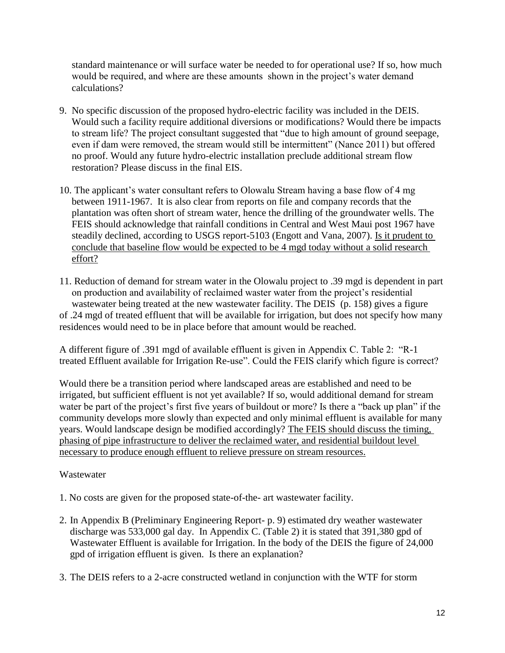standard maintenance or will surface water be needed to for operational use? If so, how much would be required, and where are these amounts shown in the project's water demand calculations?

- 9. No specific discussion of the proposed hydro-electric facility was included in the DEIS. Would such a facility require additional diversions or modifications? Would there be impacts to stream life? The project consultant suggested that "due to high amount of ground seepage, even if dam were removed, the stream would still be intermittent" (Nance 2011) but offered no proof. Would any future hydro-electric installation preclude additional stream flow restoration? Please discuss in the final EIS.
- 10. The applicant's water consultant refers to Olowalu Stream having a base flow of 4 mg between 1911-1967. It is also clear from reports on file and company records that the plantation was often short of stream water, hence the drilling of the groundwater wells. The FEIS should acknowledge that rainfall conditions in Central and West Maui post 1967 have steadily declined, according to USGS report-5103 (Engott and Vana, 2007). Is it prudent to conclude that baseline flow would be expected to be 4 mgd today without a solid research effort?
- 11. Reduction of demand for stream water in the Olowalu project to .39 mgd is dependent in part on production and availability of reclaimed waster water from the project's residential wastewater being treated at the new wastewater facility. The DEIS (p. 158) gives a figure of .24 mgd of treated effluent that will be available for irrigation, but does not specify how many residences would need to be in place before that amount would be reached.

A different figure of .391 mgd of available effluent is given in Appendix C. Table 2: "R-1 treated Effluent available for Irrigation Re-use". Could the FEIS clarify which figure is correct?

Would there be a transition period where landscaped areas are established and need to be irrigated, but sufficient effluent is not yet available? If so, would additional demand for stream water be part of the project's first five years of buildout or more? Is there a "back up plan" if the community develops more slowly than expected and only minimal effluent is available for many years. Would landscape design be modified accordingly? The FEIS should discuss the timing, phasing of pipe infrastructure to deliver the reclaimed water, and residential buildout level necessary to produce enough effluent to relieve pressure on stream resources.

# Wastewater

- 1. No costs are given for the proposed state-of-the- art wastewater facility.
- 2. In Appendix B (Preliminary Engineering Report- p. 9) estimated dry weather wastewater discharge was 533,000 gal day. In Appendix C. (Table 2) it is stated that 391,380 gpd of Wastewater Effluent is available for Irrigation. In the body of the DEIS the figure of 24,000 gpd of irrigation effluent is given. Is there an explanation?
- 3. The DEIS refers to a 2-acre constructed wetland in conjunction with the WTF for storm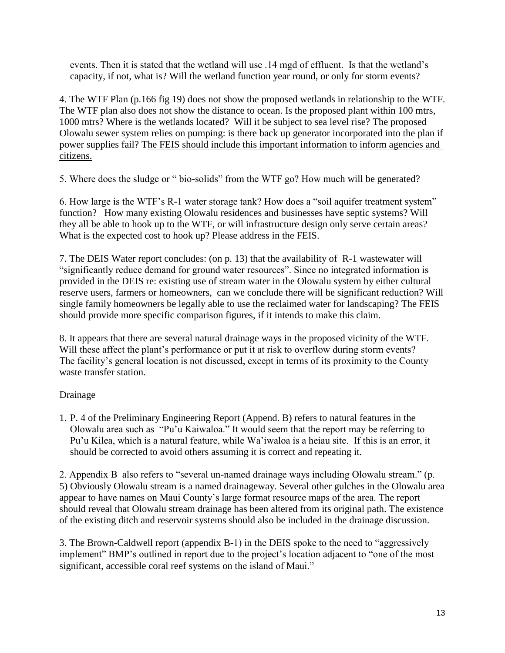events. Then it is stated that the wetland will use .14 mgd of effluent. Is that the wetland's capacity, if not, what is? Will the wetland function year round, or only for storm events?

4. The WTF Plan (p.166 fig 19) does not show the proposed wetlands in relationship to the WTF. The WTF plan also does not show the distance to ocean. Is the proposed plant within 100 mtrs, 1000 mtrs? Where is the wetlands located? Will it be subject to sea level rise? The proposed Olowalu sewer system relies on pumping: is there back up generator incorporated into the plan if power supplies fail? The FEIS should include this important information to inform agencies and citizens.

5. Where does the sludge or " bio-solids" from the WTF go? How much will be generated?

6. How large is the WTF's R-1 water storage tank? How does a "soil aquifer treatment system" function? How many existing Olowalu residences and businesses have septic systems? Will they all be able to hook up to the WTF, or will infrastructure design only serve certain areas? What is the expected cost to hook up? Please address in the FEIS.

7. The DEIS Water report concludes: (on p. 13) that the availability of R-1 wastewater will "significantly reduce demand for ground water resources". Since no integrated information is provided in the DEIS re: existing use of stream water in the Olowalu system by either cultural reserve users, farmers or homeowners, can we conclude there will be significant reduction? Will single family homeowners be legally able to use the reclaimed water for landscaping? The FEIS should provide more specific comparison figures, if it intends to make this claim.

8. It appears that there are several natural drainage ways in the proposed vicinity of the WTF. Will these affect the plant's performance or put it at risk to overflow during storm events? The facility's general location is not discussed, except in terms of its proximity to the County waste transfer station.

# Drainage

1. P. 4 of the Preliminary Engineering Report (Append. B) refers to natural features in the Olowalu area such as "Pu'u Kaiwaloa." It would seem that the report may be referring to Pu'u Kilea, which is a natural feature, while Wa'iwaloa is a heiau site. If this is an error, it should be corrected to avoid others assuming it is correct and repeating it.

2. Appendix B also refers to "several un-named drainage ways including Olowalu stream." (p. 5) Obviously Olowalu stream is a named drainageway. Several other gulches in the Olowalu area appear to have names on Maui County's large format resource maps of the area. The report should reveal that Olowalu stream drainage has been altered from its original path. The existence of the existing ditch and reservoir systems should also be included in the drainage discussion.

3. The Brown-Caldwell report (appendix B-1) in the DEIS spoke to the need to "aggressively implement" BMP's outlined in report due to the project's location adjacent to "one of the most significant, accessible coral reef systems on the island of Maui."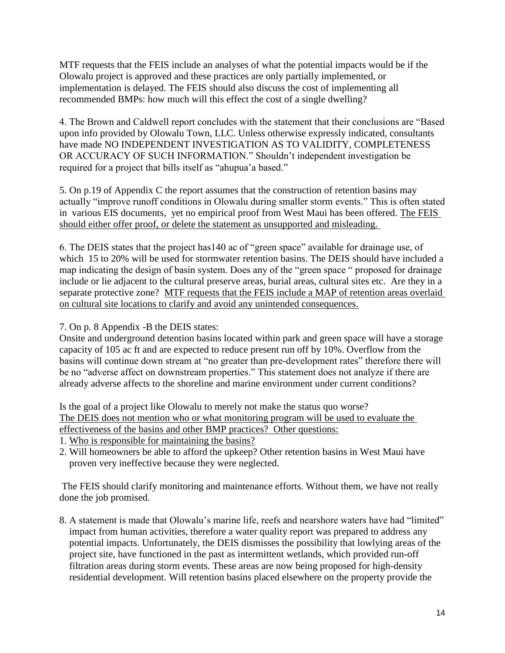MTF requests that the FEIS include an analyses of what the potential impacts would be if the Olowalu project is approved and these practices are only partially implemented, or implementation is delayed. The FEIS should also discuss the cost of implementing all recommended BMPs: how much will this effect the cost of a single dwelling?

4. The Brown and Caldwell report concludes with the statement that their conclusions are "Based upon info provided by Olowalu Town, LLC. Unless otherwise expressly indicated, consultants have made NO INDEPENDENT INVESTIGATION AS TO VALIDITY, COMPLETENESS OR ACCURACY OF SUCH INFORMATION." Shouldn't independent investigation be required for a project that bills itself as "ahupua'a based."

5. On p.19 of Appendix C the report assumes that the construction of retention basins may actually "improve runoff conditions in Olowalu during smaller storm events." This is often stated in various EIS documents, yet no empirical proof from West Maui has been offered. The FEIS should either offer proof, or delete the statement as unsupported and misleading.

6. The DEIS states that the project has140 ac of "green space" available for drainage use, of which 15 to 20% will be used for stormwater retention basins. The DEIS should have included a map indicating the design of basin system. Does any of the "green space " proposed for drainage include or lie adjacent to the cultural preserve areas, burial areas, cultural sites etc. Are they in a separate protective zone? MTF requests that the FEIS include a MAP of retention areas overlaid on cultural site locations to clarify and avoid any unintended consequences.

7. On p. 8 Appendix -B the DEIS states:

Onsite and underground detention basins located within park and green space will have a storage capacity of 105 ac ft and are expected to reduce present run off by 10%. Overflow from the basins will continue down stream at "no greater than pre-development rates" therefore there will be no "adverse affect on downstream properties." This statement does not analyze if there are already adverse affects to the shoreline and marine environment under current conditions?

Is the goal of a project like Olowalu to merely not make the status quo worse? The DEIS does not mention who or what monitoring program will be used to evaluate the effectiveness of the basins and other BMP practices? Other questions:

- 1. Who is responsible for maintaining the basins?
- 2. Will homeowners be able to afford the upkeep? Other retention basins in West Maui have proven very ineffective because they were neglected.

The FEIS should clarify monitoring and maintenance efforts. Without them, we have not really done the job promised.

8. A statement is made that Olowalu's marine life, reefs and nearshore waters have had "limited" impact from human activities, therefore a water quality report was prepared to address any potential impacts. Unfortunately, the DEIS dismisses the possibility that lowlying areas of the project site, have functioned in the past as intermittent wetlands, which provided run-off filtration areas during storm events. These areas are now being proposed for high-density residential development. Will retention basins placed elsewhere on the property provide the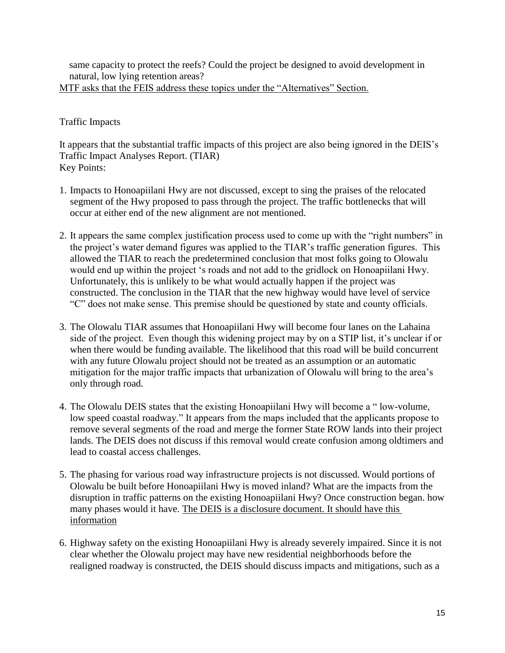same capacity to protect the reefs? Could the project be designed to avoid development in natural, low lying retention areas?

MTF asks that the FEIS address these topics under the "Alternatives" Section.

# Traffic Impacts

It appears that the substantial traffic impacts of this project are also being ignored in the DEIS's Traffic Impact Analyses Report. (TIAR) Key Points:

- 1. Impacts to Honoapiilani Hwy are not discussed, except to sing the praises of the relocated segment of the Hwy proposed to pass through the project. The traffic bottlenecks that will occur at either end of the new alignment are not mentioned.
- 2. It appears the same complex justification process used to come up with the "right numbers" in the project's water demand figures was applied to the TIAR's traffic generation figures. This allowed the TIAR to reach the predetermined conclusion that most folks going to Olowalu would end up within the project 's roads and not add to the gridlock on Honoapiilani Hwy. Unfortunately, this is unlikely to be what would actually happen if the project was constructed. The conclusion in the TIAR that the new highway would have level of service "C" does not make sense. This premise should be questioned by state and county officials.
- 3. The Olowalu TIAR assumes that Honoapiilani Hwy will become four lanes on the Lahaina side of the project. Even though this widening project may by on a STIP list, it's unclear if or when there would be funding available. The likelihood that this road will be build concurrent with any future Olowalu project should not be treated as an assumption or an automatic mitigation for the major traffic impacts that urbanization of Olowalu will bring to the area's only through road.
- 4. The Olowalu DEIS states that the existing Honoapiilani Hwy will become a " low-volume, low speed coastal roadway." It appears from the maps included that the applicants propose to remove several segments of the road and merge the former State ROW lands into their project lands. The DEIS does not discuss if this removal would create confusion among oldtimers and lead to coastal access challenges.
- 5. The phasing for various road way infrastructure projects is not discussed. Would portions of Olowalu be built before Honoapiilani Hwy is moved inland? What are the impacts from the disruption in traffic patterns on the existing Honoapiilani Hwy? Once construction began. how many phases would it have. The DEIS is a disclosure document. It should have this information
- 6. Highway safety on the existing Honoapiilani Hwy is already severely impaired. Since it is not clear whether the Olowalu project may have new residential neighborhoods before the realigned roadway is constructed, the DEIS should discuss impacts and mitigations, such as a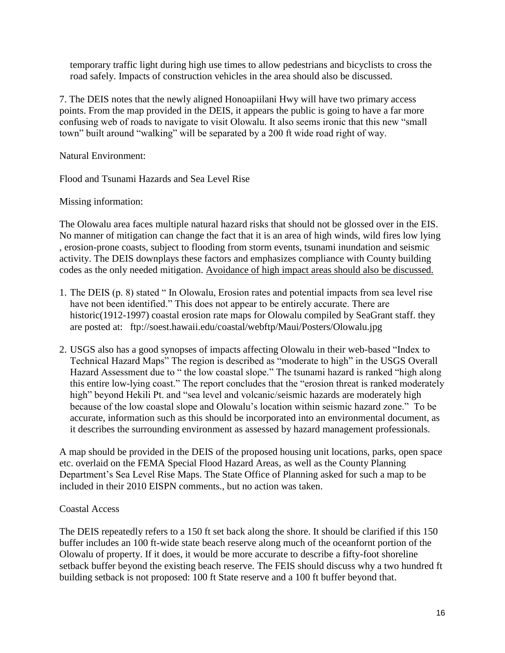temporary traffic light during high use times to allow pedestrians and bicyclists to cross the road safely. Impacts of construction vehicles in the area should also be discussed.

7. The DEIS notes that the newly aligned Honoapiilani Hwy will have two primary access points. From the map provided in the DEIS, it appears the public is going to have a far more confusing web of roads to navigate to visit Olowalu. It also seems ironic that this new "small town" built around "walking" will be separated by a 200 ft wide road right of way.

Natural Environment:

Flood and Tsunami Hazards and Sea Level Rise

Missing information:

The Olowalu area faces multiple natural hazard risks that should not be glossed over in the EIS. No manner of mitigation can change the fact that it is an area of high winds, wild fires low lying , erosion-prone coasts, subject to flooding from storm events, tsunami inundation and seismic activity. The DEIS downplays these factors and emphasizes compliance with County building codes as the only needed mitigation. Avoidance of high impact areas should also be discussed.

- 1. The DEIS (p. 8) stated " In Olowalu, Erosion rates and potential impacts from sea level rise have not been identified." This does not appear to be entirely accurate. There are historic(1912-1997) coastal erosion rate maps for Olowalu compiled by SeaGrant staff. they are posted at: ftp://soest.hawaii.edu/coastal/webftp/Maui/Posters/Olowalu.jpg
- 2. USGS also has a good synopses of impacts affecting Olowalu in their web-based "Index to Technical Hazard Maps" The region is described as "moderate to high" in the USGS Overall Hazard Assessment due to " the low coastal slope." The tsunami hazard is ranked "high along this entire low-lying coast." The report concludes that the "erosion threat is ranked moderately high" beyond Hekili Pt. and "sea level and volcanic/seismic hazards are moderately high because of the low coastal slope and Olowalu's location within seismic hazard zone." To be accurate, information such as this should be incorporated into an environmental document, as it describes the surrounding environment as assessed by hazard management professionals.

A map should be provided in the DEIS of the proposed housing unit locations, parks, open space etc. overlaid on the FEMA Special Flood Hazard Areas, as well as the County Planning Department's Sea Level Rise Maps. The State Office of Planning asked for such a map to be included in their 2010 EISPN comments., but no action was taken.

### Coastal Access

The DEIS repeatedly refers to a 150 ft set back along the shore. It should be clarified if this 150 buffer includes an 100 ft-wide state beach reserve along much of the oceanfornt portion of the Olowalu of property. If it does, it would be more accurate to describe a fifty-foot shoreline setback buffer beyond the existing beach reserve. The FEIS should discuss why a two hundred ft building setback is not proposed: 100 ft State reserve and a 100 ft buffer beyond that.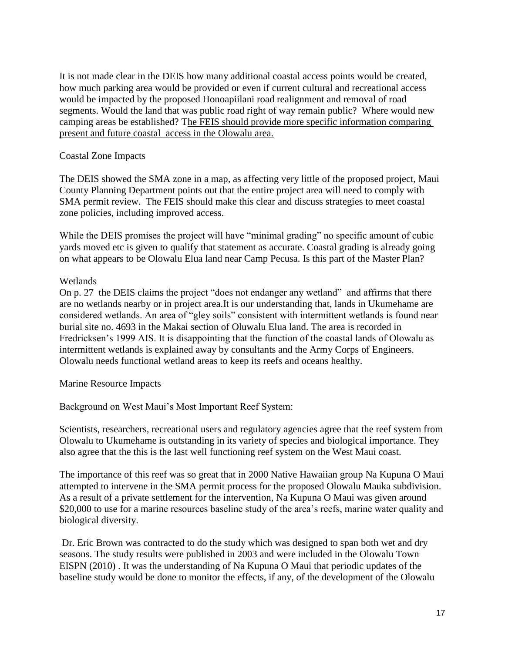It is not made clear in the DEIS how many additional coastal access points would be created, how much parking area would be provided or even if current cultural and recreational access would be impacted by the proposed Honoapiilani road realignment and removal of road segments. Would the land that was public road right of way remain public? Where would new camping areas be established? The FEIS should provide more specific information comparing present and future coastal access in the Olowalu area.

# Coastal Zone Impacts

The DEIS showed the SMA zone in a map, as affecting very little of the proposed project, Maui County Planning Department points out that the entire project area will need to comply with SMA permit review. The FEIS should make this clear and discuss strategies to meet coastal zone policies, including improved access.

While the DEIS promises the project will have "minimal grading" no specific amount of cubic yards moved etc is given to qualify that statement as accurate. Coastal grading is already going on what appears to be Olowalu Elua land near Camp Pecusa. Is this part of the Master Plan?

# **Wetlands**

On p. 27 the DEIS claims the project "does not endanger any wetland" and affirms that there are no wetlands nearby or in project area.It is our understanding that, lands in Ukumehame are considered wetlands. An area of "gley soils" consistent with intermittent wetlands is found near burial site no. 4693 in the Makai section of Oluwalu Elua land. The area is recorded in Fredricksen's 1999 AIS. It is disappointing that the function of the coastal lands of Olowalu as intermittent wetlands is explained away by consultants and the Army Corps of Engineers. Olowalu needs functional wetland areas to keep its reefs and oceans healthy.

Marine Resource Impacts

Background on West Maui's Most Important Reef System:

Scientists, researchers, recreational users and regulatory agencies agree that the reef system from Olowalu to Ukumehame is outstanding in its variety of species and biological importance. They also agree that the this is the last well functioning reef system on the West Maui coast.

The importance of this reef was so great that in 2000 Native Hawaiian group Na Kupuna O Maui attempted to intervene in the SMA permit process for the proposed Olowalu Mauka subdivision. As a result of a private settlement for the intervention, Na Kupuna O Maui was given around \$20,000 to use for a marine resources baseline study of the area's reefs, marine water quality and biological diversity.

Dr. Eric Brown was contracted to do the study which was designed to span both wet and dry seasons. The study results were published in 2003 and were included in the Olowalu Town EISPN (2010) . It was the understanding of Na Kupuna O Maui that periodic updates of the baseline study would be done to monitor the effects, if any, of the development of the Olowalu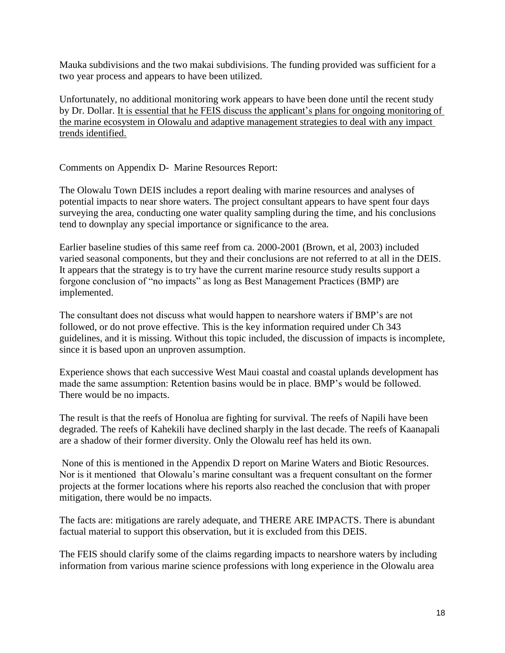Mauka subdivisions and the two makai subdivisions. The funding provided was sufficient for a two year process and appears to have been utilized.

Unfortunately, no additional monitoring work appears to have been done until the recent study by Dr. Dollar. It is essential that he FEIS discuss the applicant's plans for ongoing monitoring of the marine ecosystem in Olowalu and adaptive management strategies to deal with any impact trends identified.

Comments on Appendix D- Marine Resources Report:

The Olowalu Town DEIS includes a report dealing with marine resources and analyses of potential impacts to near shore waters. The project consultant appears to have spent four days surveying the area, conducting one water quality sampling during the time, and his conclusions tend to downplay any special importance or significance to the area.

Earlier baseline studies of this same reef from ca. 2000-2001 (Brown, et al, 2003) included varied seasonal components, but they and their conclusions are not referred to at all in the DEIS. It appears that the strategy is to try have the current marine resource study results support a forgone conclusion of "no impacts" as long as Best Management Practices (BMP) are implemented.

The consultant does not discuss what would happen to nearshore waters if BMP's are not followed, or do not prove effective. This is the key information required under Ch 343 guidelines, and it is missing. Without this topic included, the discussion of impacts is incomplete, since it is based upon an unproven assumption.

Experience shows that each successive West Maui coastal and coastal uplands development has made the same assumption: Retention basins would be in place. BMP's would be followed. There would be no impacts.

The result is that the reefs of Honolua are fighting for survival. The reefs of Napili have been degraded. The reefs of Kahekili have declined sharply in the last decade. The reefs of Kaanapali are a shadow of their former diversity. Only the Olowalu reef has held its own.

None of this is mentioned in the Appendix D report on Marine Waters and Biotic Resources. Nor is it mentioned that Olowalu's marine consultant was a frequent consultant on the former projects at the former locations where his reports also reached the conclusion that with proper mitigation, there would be no impacts.

The facts are: mitigations are rarely adequate, and THERE ARE IMPACTS. There is abundant factual material to support this observation, but it is excluded from this DEIS.

The FEIS should clarify some of the claims regarding impacts to nearshore waters by including information from various marine science professions with long experience in the Olowalu area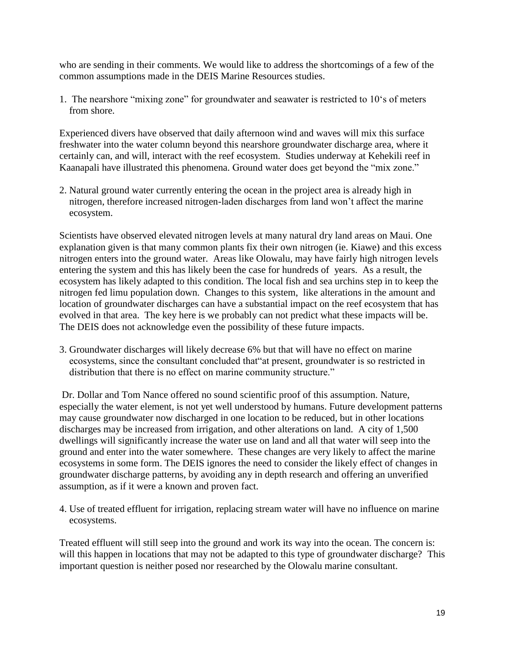who are sending in their comments. We would like to address the shortcomings of a few of the common assumptions made in the DEIS Marine Resources studies.

1. The nearshore "mixing zone" for groundwater and seawater is restricted to 10's of meters from shore.

Experienced divers have observed that daily afternoon wind and waves will mix this surface freshwater into the water column beyond this nearshore groundwater discharge area, where it certainly can, and will, interact with the reef ecosystem. Studies underway at Kehekili reef in Kaanapali have illustrated this phenomena. Ground water does get beyond the "mix zone."

2. Natural ground water currently entering the ocean in the project area is already high in nitrogen, therefore increased nitrogen-laden discharges from land won't affect the marine ecosystem.

Scientists have observed elevated nitrogen levels at many natural dry land areas on Maui. One explanation given is that many common plants fix their own nitrogen (ie. Kiawe) and this excess nitrogen enters into the ground water. Areas like Olowalu, may have fairly high nitrogen levels entering the system and this has likely been the case for hundreds of years. As a result, the ecosystem has likely adapted to this condition. The local fish and sea urchins step in to keep the nitrogen fed limu population down. Changes to this system, like alterations in the amount and location of groundwater discharges can have a substantial impact on the reef ecosystem that has evolved in that area. The key here is we probably can not predict what these impacts will be. The DEIS does not acknowledge even the possibility of these future impacts.

3. Groundwater discharges will likely decrease 6% but that will have no effect on marine ecosystems, since the consultant concluded that"at present, groundwater is so restricted in distribution that there is no effect on marine community structure."

Dr. Dollar and Tom Nance offered no sound scientific proof of this assumption. Nature, especially the water element, is not yet well understood by humans. Future development patterns may cause groundwater now discharged in one location to be reduced, but in other locations discharges may be increased from irrigation, and other alterations on land. A city of 1,500 dwellings will significantly increase the water use on land and all that water will seep into the ground and enter into the water somewhere. These changes are very likely to affect the marine ecosystems in some form. The DEIS ignores the need to consider the likely effect of changes in groundwater discharge patterns, by avoiding any in depth research and offering an unverified assumption, as if it were a known and proven fact.

4. Use of treated effluent for irrigation, replacing stream water will have no influence on marine ecosystems.

Treated effluent will still seep into the ground and work its way into the ocean. The concern is: will this happen in locations that may not be adapted to this type of groundwater discharge? This important question is neither posed nor researched by the Olowalu marine consultant.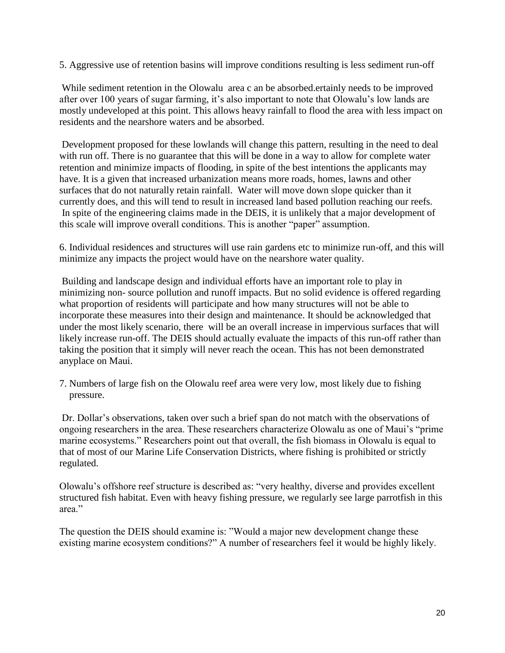5. Aggressive use of retention basins will improve conditions resulting is less sediment run-off

While sediment retention in the Olowalu area c an be absorbed.ertainly needs to be improved after over 100 years of sugar farming, it's also important to note that Olowalu's low lands are mostly undeveloped at this point. This allows heavy rainfall to flood the area with less impact on residents and the nearshore waters and be absorbed.

Development proposed for these lowlands will change this pattern, resulting in the need to deal with run off. There is no guarantee that this will be done in a way to allow for complete water retention and minimize impacts of flooding, in spite of the best intentions the applicants may have. It is a given that increased urbanization means more roads, homes, lawns and other surfaces that do not naturally retain rainfall. Water will move down slope quicker than it currently does, and this will tend to result in increased land based pollution reaching our reefs. In spite of the engineering claims made in the DEIS, it is unlikely that a major development of this scale will improve overall conditions. This is another "paper" assumption.

6. Individual residences and structures will use rain gardens etc to minimize run-off, and this will minimize any impacts the project would have on the nearshore water quality.

Building and landscape design and individual efforts have an important role to play in minimizing non- source pollution and runoff impacts. But no solid evidence is offered regarding what proportion of residents will participate and how many structures will not be able to incorporate these measures into their design and maintenance. It should be acknowledged that under the most likely scenario, there will be an overall increase in impervious surfaces that will likely increase run-off. The DEIS should actually evaluate the impacts of this run-off rather than taking the position that it simply will never reach the ocean. This has not been demonstrated anyplace on Maui.

7. Numbers of large fish on the Olowalu reef area were very low, most likely due to fishing pressure.

Dr. Dollar's observations, taken over such a brief span do not match with the observations of ongoing researchers in the area. These researchers characterize Olowalu as one of Maui's "prime marine ecosystems." Researchers point out that overall, the fish biomass in Olowalu is equal to that of most of our Marine Life Conservation Districts, where fishing is prohibited or strictly regulated.

Olowalu's offshore reef structure is described as: "very healthy, diverse and provides excellent structured fish habitat. Even with heavy fishing pressure, we regularly see large parrotfish in this area."

The question the DEIS should examine is: "Would a major new development change these existing marine ecosystem conditions?" A number of researchers feel it would be highly likely.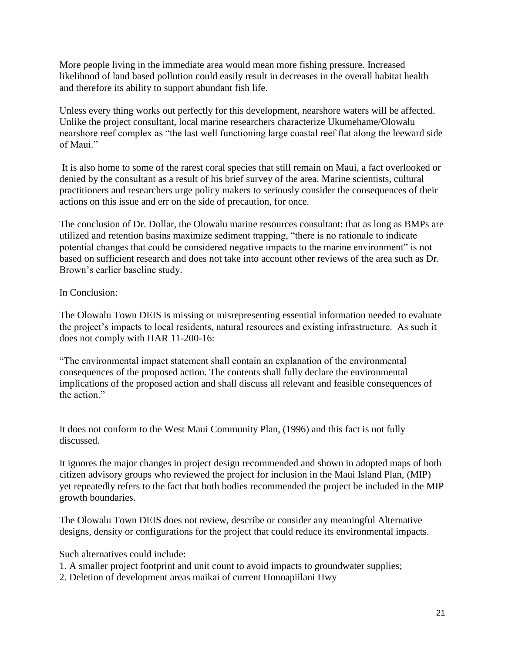More people living in the immediate area would mean more fishing pressure. Increased likelihood of land based pollution could easily result in decreases in the overall habitat health and therefore its ability to support abundant fish life.

Unless every thing works out perfectly for this development, nearshore waters will be affected. Unlike the project consultant, local marine researchers characterize Ukumehame/Olowalu nearshore reef complex as "the last well functioning large coastal reef flat along the leeward side of Maui."

It is also home to some of the rarest coral species that still remain on Maui, a fact overlooked or denied by the consultant as a result of his brief survey of the area. Marine scientists, cultural practitioners and researchers urge policy makers to seriously consider the consequences of their actions on this issue and err on the side of precaution, for once.

The conclusion of Dr. Dollar, the Olowalu marine resources consultant: that as long as BMPs are utilized and retention basins maximize sediment trapping, "there is no rationale to indicate potential changes that could be considered negative impacts to the marine environment" is not based on sufficient research and does not take into account other reviews of the area such as Dr. Brown's earlier baseline study.

# In Conclusion:

The Olowalu Town DEIS is missing or misrepresenting essential information needed to evaluate the project's impacts to local residents, natural resources and existing infrastructure. As such it does not comply with HAR 11-200-16:

"The environmental impact statement shall contain an explanation of the environmental consequences of the proposed action. The contents shall fully declare the environmental implications of the proposed action and shall discuss all relevant and feasible consequences of the action"

It does not conform to the West Maui Community Plan, (1996) and this fact is not fully discussed.

It ignores the major changes in project design recommended and shown in adopted maps of both citizen advisory groups who reviewed the project for inclusion in the Maui Island Plan, (MIP) yet repeatedly refers to the fact that both bodies recommended the project be included in the MIP growth boundaries.

The Olowalu Town DEIS does not review, describe or consider any meaningful Alternative designs, density or configurations for the project that could reduce its environmental impacts.

Such alternatives could include:

1. A smaller project footprint and unit count to avoid impacts to groundwater supplies;

2. Deletion of development areas maikai of current Honoapiilani Hwy